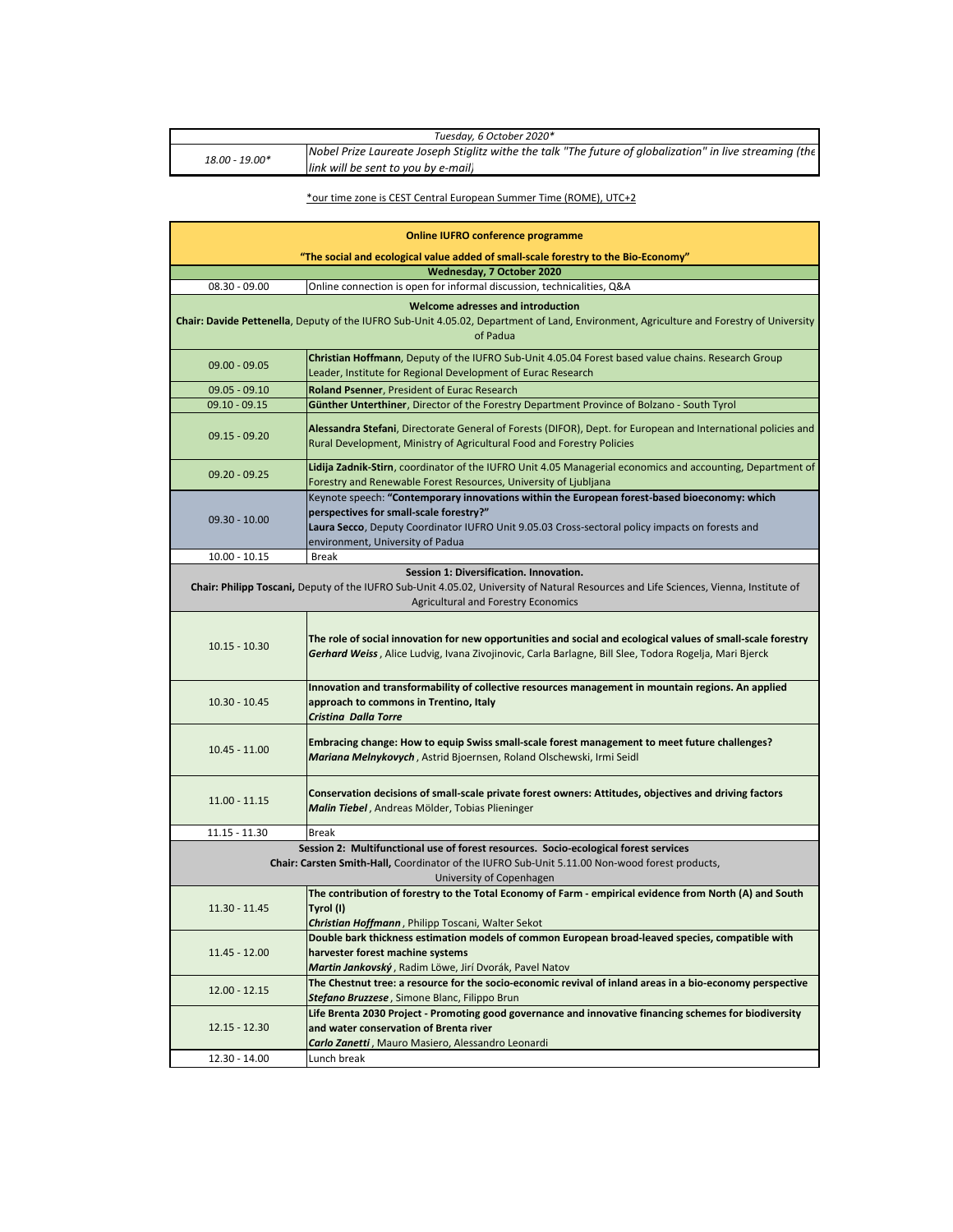| Tuesday, 6 October 2020* |                                                                                                                                                 |  |
|--------------------------|-------------------------------------------------------------------------------------------------------------------------------------------------|--|
| 18.00 - 19.00*           | Nobel Prize Laureate Joseph Stiglitz withe the talk "The future of globalization" in live streaming (the<br>link will be sent to you by e-mail) |  |

## \*our time zone is CEST Central European Summer Time (ROME), UTC+2

| "The social and ecological value added of small-scale forestry to the Bio-Economy"<br>Wednesday, 7 October 2020<br>Online connection is open for informal discussion, technicalities, Q&A<br>08.30 - 09.00<br>Welcome adresses and introduction<br>Chair: Davide Pettenella, Deputy of the IUFRO Sub-Unit 4.05.02, Department of Land, Environment, Agriculture and Forestry of University<br>of Padua<br>Christian Hoffmann, Deputy of the IUFRO Sub-Unit 4.05.04 Forest based value chains. Research Group<br>$09.00 - 09.05$<br>Leader, Institute for Regional Development of Eurac Research<br>Roland Psenner, President of Eurac Research<br>$09.05 - 09.10$<br>$09.10 - 09.15$<br>Günther Unterthiner, Director of the Forestry Department Province of Bolzano - South Tyrol<br>Alessandra Stefani, Directorate General of Forests (DIFOR), Dept. for European and International policies and<br>$09.15 - 09.20$<br>Rural Development, Ministry of Agricultural Food and Forestry Policies<br>Lidija Zadnik-Stirn, coordinator of the IUFRO Unit 4.05 Managerial economics and accounting, Department of<br>$09.20 - 09.25$<br>Forestry and Renewable Forest Resources, University of Ljubljana<br>Keynote speech: "Contemporary innovations within the European forest-based bioeconomy: which<br>perspectives for small-scale forestry?"<br>$09.30 - 10.00$<br>Laura Secco, Deputy Coordinator IUFRO Unit 9.05.03 Cross-sectoral policy impacts on forests and<br>environment, University of Padua<br>$10.00 - 10.15$<br><b>Break</b><br>Session 1: Diversification. Innovation.<br>Chair: Philipp Toscani, Deputy of the IUFRO Sub-Unit 4.05.02, University of Natural Resources and Life Sciences, Vienna, Institute of<br><b>Agricultural and Forestry Economics</b><br>The role of social innovation for new opportunities and social and ecological values of small-scale forestry<br>$10.15 - 10.30$<br>Gerhard Weiss, Alice Ludvig, Ivana Zivojinovic, Carla Barlagne, Bill Slee, Todora Rogelja, Mari Bjerck<br>Innovation and transformability of collective resources management in mountain regions. An applied<br>$10.30 - 10.45$<br>approach to commons in Trentino, Italy<br>Cristina Dalla Torre<br>Embracing change: How to equip Swiss small-scale forest management to meet future challenges?<br>$10.45 - 11.00$<br>Mariana Melnykovych, Astrid Bjoernsen, Roland Olschewski, Irmi Seidl<br>Conservation decisions of small-scale private forest owners: Attitudes, objectives and driving factors<br>$11.00 - 11.15$<br>Malin Tiebel, Andreas Mölder, Tobias Plieninger<br>$11.15 - 11.30$<br>Break<br>Session 2: Multifunctional use of forest resources. Socio-ecological forest services<br>Chair: Carsten Smith-Hall, Coordinator of the IUFRO Sub-Unit 5.11.00 Non-wood forest products,<br>University of Copenhagen<br>The contribution of forestry to the Total Economy of Farm - empirical evidence from North (A) and South<br>11.30 - 11.45<br>Tyrol (I)<br>Christian Hoffmann, Philipp Toscani, Walter Sekot<br>Double bark thickness estimation models of common European broad-leaved species, compatible with<br>harvester forest machine systems<br>11.45 - 12.00<br>Martin Jankovský, Radim Löwe, Jirí Dvorák, Pavel Natov<br>The Chestnut tree: a resource for the socio-economic revival of inland areas in a bio-economy perspective<br>$12.00 - 12.15$<br>Stefano Bruzzese, Simone Blanc, Filippo Brun<br>Life Brenta 2030 Project - Promoting good governance and innovative financing schemes for biodiversity<br>and water conservation of Brenta river<br>12.15 - 12.30<br>Carlo Zanetti, Mauro Masiero, Alessandro Leonardi<br>Lunch break<br>12.30 - 14.00 | <b>Online IUFRO conference programme</b> |  |  |  |
|------------------------------------------------------------------------------------------------------------------------------------------------------------------------------------------------------------------------------------------------------------------------------------------------------------------------------------------------------------------------------------------------------------------------------------------------------------------------------------------------------------------------------------------------------------------------------------------------------------------------------------------------------------------------------------------------------------------------------------------------------------------------------------------------------------------------------------------------------------------------------------------------------------------------------------------------------------------------------------------------------------------------------------------------------------------------------------------------------------------------------------------------------------------------------------------------------------------------------------------------------------------------------------------------------------------------------------------------------------------------------------------------------------------------------------------------------------------------------------------------------------------------------------------------------------------------------------------------------------------------------------------------------------------------------------------------------------------------------------------------------------------------------------------------------------------------------------------------------------------------------------------------------------------------------------------------------------------------------------------------------------------------------------------------------------------------------------------------------------------------------------------------------------------------------------------------------------------------------------------------------------------------------------------------------------------------------------------------------------------------------------------------------------------------------------------------------------------------------------------------------------------------------------------------------------------------------------------------------------------------------------------------------------------------------------------------------------------------------------------------------------------------------------------------------------------------------------------------------------------------------------------------------------------------------------------------------------------------------------------------------------------------------------------------------------------------------------------------------------------------------------------------------------------------------------------------------------------------------------------------------------------------------------------------------------------------------------------------------------------------------------------------------------------------------------------------------------------------------------------------------------------------------------------------------------------------------------------------------------------------------------------------------------------------------------------------------------------|------------------------------------------|--|--|--|
|                                                                                                                                                                                                                                                                                                                                                                                                                                                                                                                                                                                                                                                                                                                                                                                                                                                                                                                                                                                                                                                                                                                                                                                                                                                                                                                                                                                                                                                                                                                                                                                                                                                                                                                                                                                                                                                                                                                                                                                                                                                                                                                                                                                                                                                                                                                                                                                                                                                                                                                                                                                                                                                                                                                                                                                                                                                                                                                                                                                                                                                                                                                                                                                                                                                                                                                                                                                                                                                                                                                                                                                                                                                                                                                  |                                          |  |  |  |
|                                                                                                                                                                                                                                                                                                                                                                                                                                                                                                                                                                                                                                                                                                                                                                                                                                                                                                                                                                                                                                                                                                                                                                                                                                                                                                                                                                                                                                                                                                                                                                                                                                                                                                                                                                                                                                                                                                                                                                                                                                                                                                                                                                                                                                                                                                                                                                                                                                                                                                                                                                                                                                                                                                                                                                                                                                                                                                                                                                                                                                                                                                                                                                                                                                                                                                                                                                                                                                                                                                                                                                                                                                                                                                                  |                                          |  |  |  |
|                                                                                                                                                                                                                                                                                                                                                                                                                                                                                                                                                                                                                                                                                                                                                                                                                                                                                                                                                                                                                                                                                                                                                                                                                                                                                                                                                                                                                                                                                                                                                                                                                                                                                                                                                                                                                                                                                                                                                                                                                                                                                                                                                                                                                                                                                                                                                                                                                                                                                                                                                                                                                                                                                                                                                                                                                                                                                                                                                                                                                                                                                                                                                                                                                                                                                                                                                                                                                                                                                                                                                                                                                                                                                                                  |                                          |  |  |  |
|                                                                                                                                                                                                                                                                                                                                                                                                                                                                                                                                                                                                                                                                                                                                                                                                                                                                                                                                                                                                                                                                                                                                                                                                                                                                                                                                                                                                                                                                                                                                                                                                                                                                                                                                                                                                                                                                                                                                                                                                                                                                                                                                                                                                                                                                                                                                                                                                                                                                                                                                                                                                                                                                                                                                                                                                                                                                                                                                                                                                                                                                                                                                                                                                                                                                                                                                                                                                                                                                                                                                                                                                                                                                                                                  |                                          |  |  |  |
|                                                                                                                                                                                                                                                                                                                                                                                                                                                                                                                                                                                                                                                                                                                                                                                                                                                                                                                                                                                                                                                                                                                                                                                                                                                                                                                                                                                                                                                                                                                                                                                                                                                                                                                                                                                                                                                                                                                                                                                                                                                                                                                                                                                                                                                                                                                                                                                                                                                                                                                                                                                                                                                                                                                                                                                                                                                                                                                                                                                                                                                                                                                                                                                                                                                                                                                                                                                                                                                                                                                                                                                                                                                                                                                  |                                          |  |  |  |
|                                                                                                                                                                                                                                                                                                                                                                                                                                                                                                                                                                                                                                                                                                                                                                                                                                                                                                                                                                                                                                                                                                                                                                                                                                                                                                                                                                                                                                                                                                                                                                                                                                                                                                                                                                                                                                                                                                                                                                                                                                                                                                                                                                                                                                                                                                                                                                                                                                                                                                                                                                                                                                                                                                                                                                                                                                                                                                                                                                                                                                                                                                                                                                                                                                                                                                                                                                                                                                                                                                                                                                                                                                                                                                                  |                                          |  |  |  |
|                                                                                                                                                                                                                                                                                                                                                                                                                                                                                                                                                                                                                                                                                                                                                                                                                                                                                                                                                                                                                                                                                                                                                                                                                                                                                                                                                                                                                                                                                                                                                                                                                                                                                                                                                                                                                                                                                                                                                                                                                                                                                                                                                                                                                                                                                                                                                                                                                                                                                                                                                                                                                                                                                                                                                                                                                                                                                                                                                                                                                                                                                                                                                                                                                                                                                                                                                                                                                                                                                                                                                                                                                                                                                                                  |                                          |  |  |  |
|                                                                                                                                                                                                                                                                                                                                                                                                                                                                                                                                                                                                                                                                                                                                                                                                                                                                                                                                                                                                                                                                                                                                                                                                                                                                                                                                                                                                                                                                                                                                                                                                                                                                                                                                                                                                                                                                                                                                                                                                                                                                                                                                                                                                                                                                                                                                                                                                                                                                                                                                                                                                                                                                                                                                                                                                                                                                                                                                                                                                                                                                                                                                                                                                                                                                                                                                                                                                                                                                                                                                                                                                                                                                                                                  |                                          |  |  |  |
|                                                                                                                                                                                                                                                                                                                                                                                                                                                                                                                                                                                                                                                                                                                                                                                                                                                                                                                                                                                                                                                                                                                                                                                                                                                                                                                                                                                                                                                                                                                                                                                                                                                                                                                                                                                                                                                                                                                                                                                                                                                                                                                                                                                                                                                                                                                                                                                                                                                                                                                                                                                                                                                                                                                                                                                                                                                                                                                                                                                                                                                                                                                                                                                                                                                                                                                                                                                                                                                                                                                                                                                                                                                                                                                  |                                          |  |  |  |
|                                                                                                                                                                                                                                                                                                                                                                                                                                                                                                                                                                                                                                                                                                                                                                                                                                                                                                                                                                                                                                                                                                                                                                                                                                                                                                                                                                                                                                                                                                                                                                                                                                                                                                                                                                                                                                                                                                                                                                                                                                                                                                                                                                                                                                                                                                                                                                                                                                                                                                                                                                                                                                                                                                                                                                                                                                                                                                                                                                                                                                                                                                                                                                                                                                                                                                                                                                                                                                                                                                                                                                                                                                                                                                                  |                                          |  |  |  |
|                                                                                                                                                                                                                                                                                                                                                                                                                                                                                                                                                                                                                                                                                                                                                                                                                                                                                                                                                                                                                                                                                                                                                                                                                                                                                                                                                                                                                                                                                                                                                                                                                                                                                                                                                                                                                                                                                                                                                                                                                                                                                                                                                                                                                                                                                                                                                                                                                                                                                                                                                                                                                                                                                                                                                                                                                                                                                                                                                                                                                                                                                                                                                                                                                                                                                                                                                                                                                                                                                                                                                                                                                                                                                                                  |                                          |  |  |  |
|                                                                                                                                                                                                                                                                                                                                                                                                                                                                                                                                                                                                                                                                                                                                                                                                                                                                                                                                                                                                                                                                                                                                                                                                                                                                                                                                                                                                                                                                                                                                                                                                                                                                                                                                                                                                                                                                                                                                                                                                                                                                                                                                                                                                                                                                                                                                                                                                                                                                                                                                                                                                                                                                                                                                                                                                                                                                                                                                                                                                                                                                                                                                                                                                                                                                                                                                                                                                                                                                                                                                                                                                                                                                                                                  |                                          |  |  |  |
|                                                                                                                                                                                                                                                                                                                                                                                                                                                                                                                                                                                                                                                                                                                                                                                                                                                                                                                                                                                                                                                                                                                                                                                                                                                                                                                                                                                                                                                                                                                                                                                                                                                                                                                                                                                                                                                                                                                                                                                                                                                                                                                                                                                                                                                                                                                                                                                                                                                                                                                                                                                                                                                                                                                                                                                                                                                                                                                                                                                                                                                                                                                                                                                                                                                                                                                                                                                                                                                                                                                                                                                                                                                                                                                  |                                          |  |  |  |
|                                                                                                                                                                                                                                                                                                                                                                                                                                                                                                                                                                                                                                                                                                                                                                                                                                                                                                                                                                                                                                                                                                                                                                                                                                                                                                                                                                                                                                                                                                                                                                                                                                                                                                                                                                                                                                                                                                                                                                                                                                                                                                                                                                                                                                                                                                                                                                                                                                                                                                                                                                                                                                                                                                                                                                                                                                                                                                                                                                                                                                                                                                                                                                                                                                                                                                                                                                                                                                                                                                                                                                                                                                                                                                                  |                                          |  |  |  |
|                                                                                                                                                                                                                                                                                                                                                                                                                                                                                                                                                                                                                                                                                                                                                                                                                                                                                                                                                                                                                                                                                                                                                                                                                                                                                                                                                                                                                                                                                                                                                                                                                                                                                                                                                                                                                                                                                                                                                                                                                                                                                                                                                                                                                                                                                                                                                                                                                                                                                                                                                                                                                                                                                                                                                                                                                                                                                                                                                                                                                                                                                                                                                                                                                                                                                                                                                                                                                                                                                                                                                                                                                                                                                                                  |                                          |  |  |  |
|                                                                                                                                                                                                                                                                                                                                                                                                                                                                                                                                                                                                                                                                                                                                                                                                                                                                                                                                                                                                                                                                                                                                                                                                                                                                                                                                                                                                                                                                                                                                                                                                                                                                                                                                                                                                                                                                                                                                                                                                                                                                                                                                                                                                                                                                                                                                                                                                                                                                                                                                                                                                                                                                                                                                                                                                                                                                                                                                                                                                                                                                                                                                                                                                                                                                                                                                                                                                                                                                                                                                                                                                                                                                                                                  |                                          |  |  |  |
|                                                                                                                                                                                                                                                                                                                                                                                                                                                                                                                                                                                                                                                                                                                                                                                                                                                                                                                                                                                                                                                                                                                                                                                                                                                                                                                                                                                                                                                                                                                                                                                                                                                                                                                                                                                                                                                                                                                                                                                                                                                                                                                                                                                                                                                                                                                                                                                                                                                                                                                                                                                                                                                                                                                                                                                                                                                                                                                                                                                                                                                                                                                                                                                                                                                                                                                                                                                                                                                                                                                                                                                                                                                                                                                  |                                          |  |  |  |
|                                                                                                                                                                                                                                                                                                                                                                                                                                                                                                                                                                                                                                                                                                                                                                                                                                                                                                                                                                                                                                                                                                                                                                                                                                                                                                                                                                                                                                                                                                                                                                                                                                                                                                                                                                                                                                                                                                                                                                                                                                                                                                                                                                                                                                                                                                                                                                                                                                                                                                                                                                                                                                                                                                                                                                                                                                                                                                                                                                                                                                                                                                                                                                                                                                                                                                                                                                                                                                                                                                                                                                                                                                                                                                                  |                                          |  |  |  |
|                                                                                                                                                                                                                                                                                                                                                                                                                                                                                                                                                                                                                                                                                                                                                                                                                                                                                                                                                                                                                                                                                                                                                                                                                                                                                                                                                                                                                                                                                                                                                                                                                                                                                                                                                                                                                                                                                                                                                                                                                                                                                                                                                                                                                                                                                                                                                                                                                                                                                                                                                                                                                                                                                                                                                                                                                                                                                                                                                                                                                                                                                                                                                                                                                                                                                                                                                                                                                                                                                                                                                                                                                                                                                                                  |                                          |  |  |  |
|                                                                                                                                                                                                                                                                                                                                                                                                                                                                                                                                                                                                                                                                                                                                                                                                                                                                                                                                                                                                                                                                                                                                                                                                                                                                                                                                                                                                                                                                                                                                                                                                                                                                                                                                                                                                                                                                                                                                                                                                                                                                                                                                                                                                                                                                                                                                                                                                                                                                                                                                                                                                                                                                                                                                                                                                                                                                                                                                                                                                                                                                                                                                                                                                                                                                                                                                                                                                                                                                                                                                                                                                                                                                                                                  |                                          |  |  |  |
|                                                                                                                                                                                                                                                                                                                                                                                                                                                                                                                                                                                                                                                                                                                                                                                                                                                                                                                                                                                                                                                                                                                                                                                                                                                                                                                                                                                                                                                                                                                                                                                                                                                                                                                                                                                                                                                                                                                                                                                                                                                                                                                                                                                                                                                                                                                                                                                                                                                                                                                                                                                                                                                                                                                                                                                                                                                                                                                                                                                                                                                                                                                                                                                                                                                                                                                                                                                                                                                                                                                                                                                                                                                                                                                  |                                          |  |  |  |
|                                                                                                                                                                                                                                                                                                                                                                                                                                                                                                                                                                                                                                                                                                                                                                                                                                                                                                                                                                                                                                                                                                                                                                                                                                                                                                                                                                                                                                                                                                                                                                                                                                                                                                                                                                                                                                                                                                                                                                                                                                                                                                                                                                                                                                                                                                                                                                                                                                                                                                                                                                                                                                                                                                                                                                                                                                                                                                                                                                                                                                                                                                                                                                                                                                                                                                                                                                                                                                                                                                                                                                                                                                                                                                                  |                                          |  |  |  |
|                                                                                                                                                                                                                                                                                                                                                                                                                                                                                                                                                                                                                                                                                                                                                                                                                                                                                                                                                                                                                                                                                                                                                                                                                                                                                                                                                                                                                                                                                                                                                                                                                                                                                                                                                                                                                                                                                                                                                                                                                                                                                                                                                                                                                                                                                                                                                                                                                                                                                                                                                                                                                                                                                                                                                                                                                                                                                                                                                                                                                                                                                                                                                                                                                                                                                                                                                                                                                                                                                                                                                                                                                                                                                                                  |                                          |  |  |  |
|                                                                                                                                                                                                                                                                                                                                                                                                                                                                                                                                                                                                                                                                                                                                                                                                                                                                                                                                                                                                                                                                                                                                                                                                                                                                                                                                                                                                                                                                                                                                                                                                                                                                                                                                                                                                                                                                                                                                                                                                                                                                                                                                                                                                                                                                                                                                                                                                                                                                                                                                                                                                                                                                                                                                                                                                                                                                                                                                                                                                                                                                                                                                                                                                                                                                                                                                                                                                                                                                                                                                                                                                                                                                                                                  |                                          |  |  |  |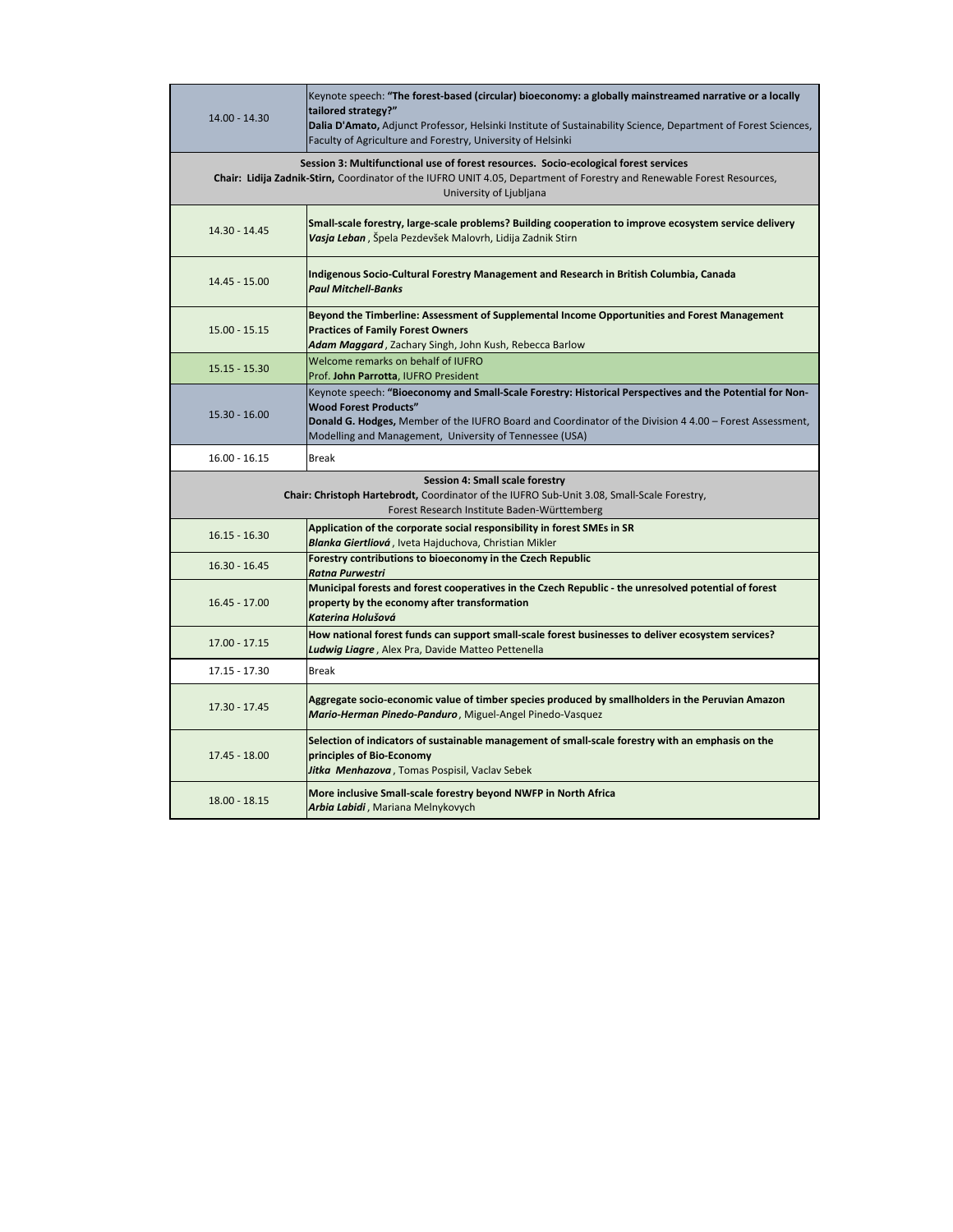| 14.00 - 14.30                                                                                                                                                                                                                             | Keynote speech: "The forest-based (circular) bioeconomy: a globally mainstreamed narrative or a locally<br>tailored strategy?"<br>Dalia D'Amato, Adjunct Professor, Helsinki Institute of Sustainability Science, Department of Forest Sciences,<br>Faculty of Agriculture and Forestry, University of Helsinki |  |
|-------------------------------------------------------------------------------------------------------------------------------------------------------------------------------------------------------------------------------------------|-----------------------------------------------------------------------------------------------------------------------------------------------------------------------------------------------------------------------------------------------------------------------------------------------------------------|--|
| Session 3: Multifunctional use of forest resources. Socio-ecological forest services<br>Chair: Lidija Zadnik-Stirn, Coordinator of the IUFRO UNIT 4.05, Department of Forestry and Renewable Forest Resources,<br>University of Ljubljana |                                                                                                                                                                                                                                                                                                                 |  |
| 14.30 - 14.45                                                                                                                                                                                                                             | Small-scale forestry, large-scale problems? Building cooperation to improve ecosystem service delivery<br>Vasja Leban, Špela Pezdevšek Malovrh, Lidija Zadnik Stirn                                                                                                                                             |  |
| 14.45 - 15.00                                                                                                                                                                                                                             | Indigenous Socio-Cultural Forestry Management and Research in British Columbia, Canada<br><b>Paul Mitchell-Banks</b>                                                                                                                                                                                            |  |
| 15.00 - 15.15                                                                                                                                                                                                                             | Beyond the Timberline: Assessment of Supplemental Income Opportunities and Forest Management<br><b>Practices of Family Forest Owners</b><br>Adam Maggard, Zachary Singh, John Kush, Rebecca Barlow                                                                                                              |  |
| 15.15 - 15.30                                                                                                                                                                                                                             | Welcome remarks on behalf of IUFRO<br>Prof. John Parrotta, IUFRO President                                                                                                                                                                                                                                      |  |
| 15.30 - 16.00                                                                                                                                                                                                                             | Keynote speech: "Bioeconomy and Small-Scale Forestry: Historical Perspectives and the Potential for Non-<br><b>Wood Forest Products"</b><br>Donald G. Hodges, Member of the IUFRO Board and Coordinator of the Division 4 4.00 - Forest Assessment,<br>Modelling and Management, University of Tennessee (USA)  |  |
| $16.00 - 16.15$                                                                                                                                                                                                                           | <b>Break</b>                                                                                                                                                                                                                                                                                                    |  |
| Session 4: Small scale forestry<br>Chair: Christoph Hartebrodt, Coordinator of the IUFRO Sub-Unit 3.08, Small-Scale Forestry,<br>Forest Research Institute Baden-Württemberg                                                              |                                                                                                                                                                                                                                                                                                                 |  |
| $16.15 - 16.30$                                                                                                                                                                                                                           | Application of the corporate social responsibility in forest SMEs in SR<br>Blanka Giertliová, Iveta Hajduchova, Christian Mikler                                                                                                                                                                                |  |
| $16.30 - 16.45$                                                                                                                                                                                                                           | Forestry contributions to bioeconomy in the Czech Republic<br>Ratna Purwestri                                                                                                                                                                                                                                   |  |
| 16.45 - 17.00                                                                                                                                                                                                                             | Municipal forests and forest cooperatives in the Czech Republic - the unresolved potential of forest<br>property by the economy after transformation<br>Katerina Holušová                                                                                                                                       |  |
| 17.00 - 17.15                                                                                                                                                                                                                             | How national forest funds can support small-scale forest businesses to deliver ecosystem services?<br>Ludwig Liagre, Alex Pra, Davide Matteo Pettenella                                                                                                                                                         |  |
| 17.15 - 17.30                                                                                                                                                                                                                             | Break                                                                                                                                                                                                                                                                                                           |  |
| 17.30 - 17.45                                                                                                                                                                                                                             | Aggregate socio-economic value of timber species produced by smallholders in the Peruvian Amazon<br>Mario-Herman Pinedo-Panduro, Miguel-Angel Pinedo-Vasquez                                                                                                                                                    |  |
| 17.45 - 18.00                                                                                                                                                                                                                             | Selection of indicators of sustainable management of small-scale forestry with an emphasis on the<br>principles of Bio-Economy<br>Jitka Menhazova, Tomas Pospisil, Vaclav Sebek                                                                                                                                 |  |
| $18.00 - 18.15$                                                                                                                                                                                                                           | More inclusive Small-scale forestry beyond NWFP in North Africa<br>Arbia Labidi, Mariana Melnykovych                                                                                                                                                                                                            |  |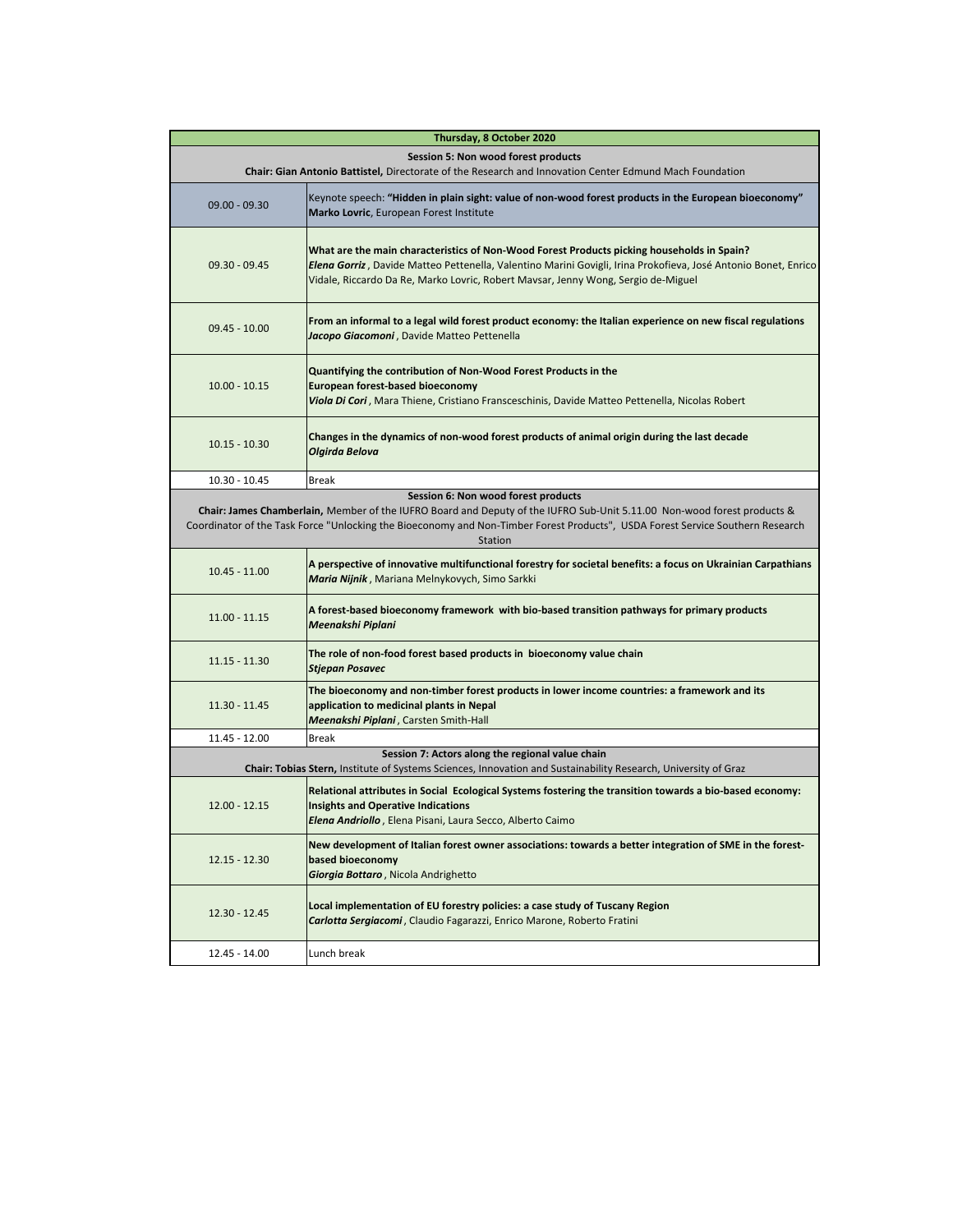|                                                                                                                                                | Thursday, 8 October 2020                                                                                                                                                                                                                                                                          |  |
|------------------------------------------------------------------------------------------------------------------------------------------------|---------------------------------------------------------------------------------------------------------------------------------------------------------------------------------------------------------------------------------------------------------------------------------------------------|--|
| Session 5: Non wood forest products<br>Chair: Gian Antonio Battistel, Directorate of the Research and Innovation Center Edmund Mach Foundation |                                                                                                                                                                                                                                                                                                   |  |
| $09.00 - 09.30$                                                                                                                                | Keynote speech: "Hidden in plain sight: value of non-wood forest products in the European bioeconomy"<br>Marko Lovric, European Forest Institute                                                                                                                                                  |  |
| $09.30 - 09.45$                                                                                                                                | What are the main characteristics of Non-Wood Forest Products picking households in Spain?<br>Elena Gorriz, Davide Matteo Pettenella, Valentino Marini Govigli, Irina Prokofieva, José Antonio Bonet, Enrico<br>Vidale, Riccardo Da Re, Marko Lovric, Robert Mavsar, Jenny Wong, Sergio de-Miguel |  |
| $09.45 - 10.00$                                                                                                                                | From an informal to a legal wild forest product economy: the Italian experience on new fiscal regulations<br>Jacopo Giacomoni, Davide Matteo Pettenella                                                                                                                                           |  |
| $10.00 - 10.15$                                                                                                                                | Quantifying the contribution of Non-Wood Forest Products in the<br><b>European forest-based bioeconomy</b><br>Viola Di Cori, Mara Thiene, Cristiano Fransceschinis, Davide Matteo Pettenella, Nicolas Robert                                                                                      |  |
| $10.15 - 10.30$                                                                                                                                | Changes in the dynamics of non-wood forest products of animal origin during the last decade<br>Olgirda Belova                                                                                                                                                                                     |  |
| 10.30 - 10.45                                                                                                                                  | <b>Break</b>                                                                                                                                                                                                                                                                                      |  |
|                                                                                                                                                | Session 6: Non wood forest products                                                                                                                                                                                                                                                               |  |
|                                                                                                                                                | Chair: James Chamberlain, Member of the IUFRO Board and Deputy of the IUFRO Sub-Unit 5.11.00 Non-wood forest products &                                                                                                                                                                           |  |
|                                                                                                                                                | Coordinator of the Task Force "Unlocking the Bioeconomy and Non-Timber Forest Products", USDA Forest Service Southern Research<br>Station                                                                                                                                                         |  |
| $10.45 - 11.00$                                                                                                                                | A perspective of innovative multifunctional forestry for societal benefits: a focus on Ukrainian Carpathians<br>Maria Nijnik, Mariana Melnykovych, Simo Sarkki                                                                                                                                    |  |
| 11.00 - 11.15                                                                                                                                  | A forest-based bioeconomy framework with bio-based transition pathways for primary products<br>Meenakshi Piplani                                                                                                                                                                                  |  |
| $11.15 - 11.30$                                                                                                                                | The role of non-food forest based products in bioeconomy value chain<br><b>Stjepan Posavec</b>                                                                                                                                                                                                    |  |
| 11.30 - 11.45                                                                                                                                  | The bioeconomy and non-timber forest products in lower income countries: a framework and its<br>application to medicinal plants in Nepal<br>Meenakshi Piplani, Carsten Smith-Hall                                                                                                                 |  |
| 11.45 - 12.00                                                                                                                                  | <b>Break</b>                                                                                                                                                                                                                                                                                      |  |
|                                                                                                                                                | Session 7: Actors along the regional value chain<br>Chair: Tobias Stern, Institute of Systems Sciences, Innovation and Sustainability Research, University of Graz                                                                                                                                |  |
| 12.00 - 12.15                                                                                                                                  | Relational attributes in Social Ecological Systems fostering the transition towards a bio-based economy:<br><b>Insights and Operative Indications</b><br>Elena Andriollo, Elena Pisani, Laura Secco, Alberto Caimo                                                                                |  |
| $12.15 - 12.30$                                                                                                                                | New development of Italian forest owner associations: towards a better integration of SME in the forest-<br>based bioeconomy<br>Giorgia Bottaro, Nicola Andrighetto                                                                                                                               |  |
| 12.30 - 12.45                                                                                                                                  | Local implementation of EU forestry policies: a case study of Tuscany Region<br>Carlotta Sergiacomi, Claudio Fagarazzi, Enrico Marone, Roberto Fratini                                                                                                                                            |  |
| 12.45 - 14.00                                                                                                                                  | Lunch break                                                                                                                                                                                                                                                                                       |  |